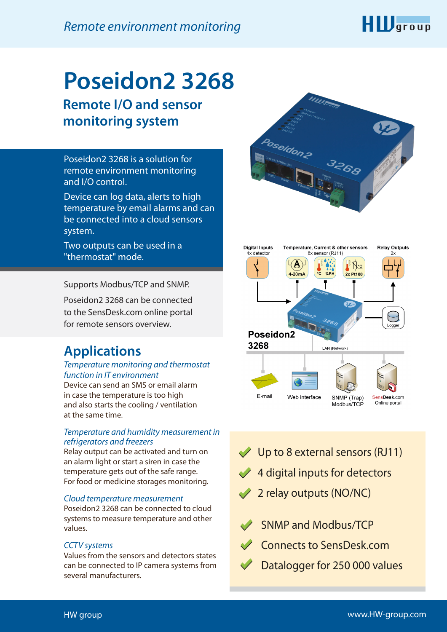

# **Poseidon2 3268 Remote I/O and sensor**

**monitoring system**

Poseidon2 3268 is a solution for remote environment monitoring and I/O control.

Device can log data, alerts to high temperature by email alarms and can be connected into a cloud sensors system.

Two outputs can be used in a "thermostat" mode.

Supports Modbus/TCP and SNMP.

Poseidon2 3268 can be connected to the SensDesk.com online portal for remote sensors overview.

## **Applications**

### *Temperature monitoring and thermostat function in IT environment*

Device can send an SMS or email alarm in case the temperature is too high and also starts the cooling / ventilation at the same time.

### *Temperature and humidity measurement in refrigerators and freezers*

Relay output can be activated and turn on an alarm light or start a siren in case the temperature gets out of the safe range. For food or medicine storages monitoring.

### *Cloud temperature measurement*

Poseidon2 3268 can be connected to cloud systems to measure temperature and other values.

#### *CCTV systems*

Values from the sensors and detectors states can be connected to IP camera systems from several manufacturers.





- Up to 8 external sensors (RJ11)
- $4$  digital inputs for detectors
- 2 relay outputs (NO/NC)
- SNMP and Modbus/TCP
- Connects to SensDesk.com
	- Datalogger for 250 000 values